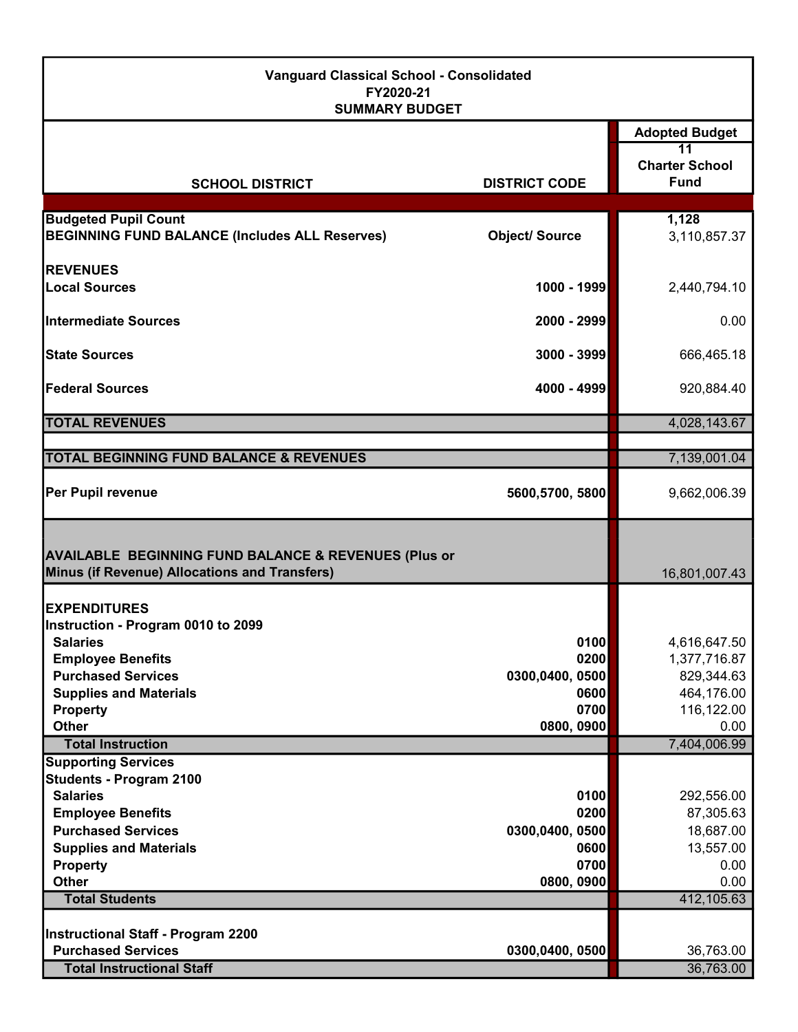| <b>Vanguard Classical School - Consolidated</b><br>FY2020-21<br><b>SUMMARY BUDGET</b>                            |                         |                                            |  |
|------------------------------------------------------------------------------------------------------------------|-------------------------|--------------------------------------------|--|
|                                                                                                                  |                         | <b>Adopted Budget</b>                      |  |
| <b>SCHOOL DISTRICT</b>                                                                                           | <b>DISTRICT CODE</b>    | 11<br><b>Charter School</b><br><b>Fund</b> |  |
|                                                                                                                  |                         |                                            |  |
| <b>Budgeted Pupil Count</b><br><b>BEGINNING FUND BALANCE (Includes ALL Reserves)</b>                             | <b>Object/Source</b>    | 1,128<br>3,110,857.37                      |  |
| <b>IREVENUES</b>                                                                                                 |                         |                                            |  |
| Local Sources                                                                                                    | 1000 - 1999             | 2,440,794.10                               |  |
| Intermediate Sources                                                                                             | 2000 - 2999             | 0.00                                       |  |
| <b>State Sources</b>                                                                                             | 3000 - 3999             | 666,465.18                                 |  |
| <b>Federal Sources</b>                                                                                           | 4000 - 4999             | 920,884.40                                 |  |
| <b>TOTAL REVENUES</b>                                                                                            |                         | 4,028,143.67                               |  |
|                                                                                                                  |                         |                                            |  |
| <b>TOTAL BEGINNING FUND BALANCE &amp; REVENUES</b>                                                               |                         | 7,139,001.04                               |  |
| Per Pupil revenue                                                                                                | 5600,5700, 5800         | 9,662,006.39                               |  |
| <b>AVAILABLE BEGINNING FUND BALANCE &amp; REVENUES (Plus or</b><br>Minus (if Revenue) Allocations and Transfers) |                         | 16,801,007.43                              |  |
| <b>EXPENDITURES</b>                                                                                              |                         |                                            |  |
| Instruction - Program 0010 to 2099                                                                               |                         |                                            |  |
| <b>Salaries</b>                                                                                                  | 0100                    | 4,616,647.50                               |  |
| <b>Employee Benefits</b><br><b>Purchased Services</b>                                                            | 0200                    | 1,377,716.87                               |  |
| <b>Supplies and Materials</b>                                                                                    | 0300,0400, 0500<br>0600 | 829,344.63<br>464,176.00                   |  |
| <b>Property</b>                                                                                                  | 0700                    | 116,122.00                                 |  |
| <b>Other</b>                                                                                                     | 0800, 0900              | 0.00                                       |  |
| <b>Total Instruction</b>                                                                                         |                         | 7,404,006.99                               |  |
| <b>Supporting Services</b>                                                                                       |                         |                                            |  |
| <b>Students - Program 2100</b><br><b>Salaries</b>                                                                | 0100                    | 292,556.00                                 |  |
| <b>Employee Benefits</b>                                                                                         | 0200                    | 87,305.63                                  |  |
| <b>Purchased Services</b>                                                                                        | 0300,0400, 0500         | 18,687.00                                  |  |
| <b>Supplies and Materials</b>                                                                                    | 0600                    | 13,557.00                                  |  |
| <b>Property</b>                                                                                                  | 0700                    | 0.00                                       |  |
| <b>Other</b>                                                                                                     | 0800, 0900              | 0.00                                       |  |
| <b>Total Students</b>                                                                                            |                         | 412,105.63                                 |  |
| Instructional Staff - Program 2200                                                                               |                         |                                            |  |
| <b>Purchased Services</b>                                                                                        | 0300,0400, 0500         | 36,763.00                                  |  |
| <b>Total Instructional Staff</b>                                                                                 |                         | 36,763.00                                  |  |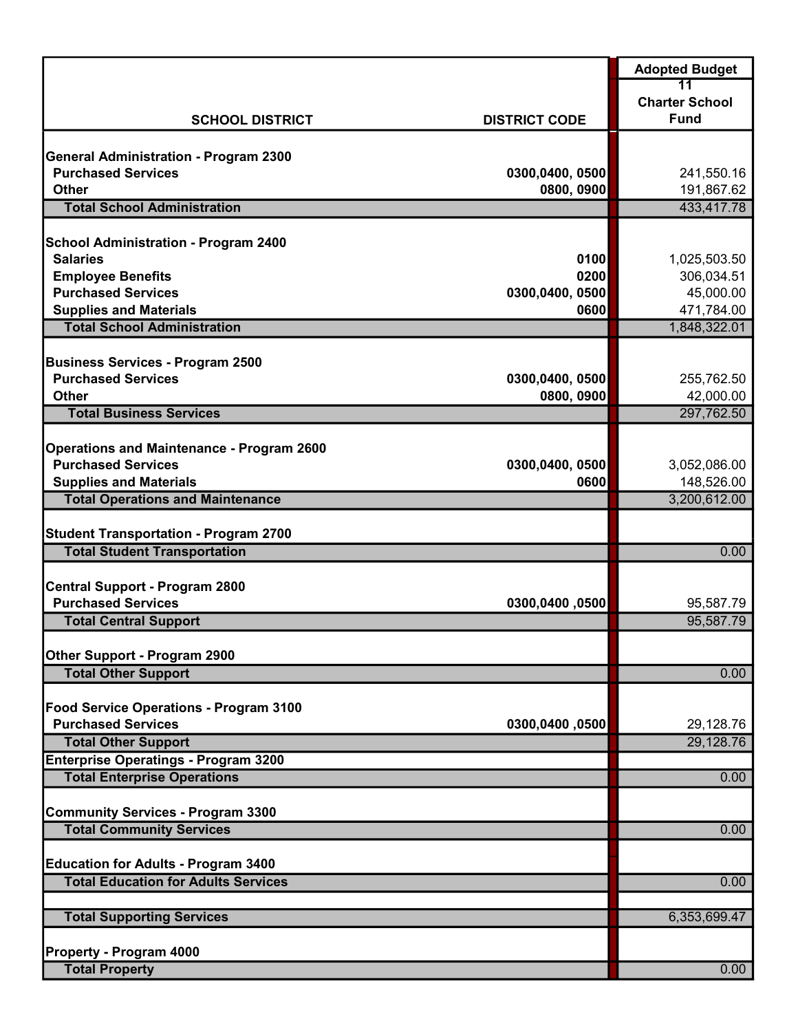|                                                                     |                         | <b>Adopted Budget</b>       |
|---------------------------------------------------------------------|-------------------------|-----------------------------|
|                                                                     |                         | 11<br><b>Charter School</b> |
| <b>SCHOOL DISTRICT</b>                                              | <b>DISTRICT CODE</b>    | <b>Fund</b>                 |
|                                                                     |                         |                             |
| <b>General Administration - Program 2300</b>                        |                         |                             |
| <b>Purchased Services</b>                                           | 0300,0400, 0500         | 241,550.16                  |
| <b>Other</b><br><b>Total School Administration</b>                  | 0800, 0900              | 191,867.62<br>433,417.78    |
|                                                                     |                         |                             |
| <b>School Administration - Program 2400</b>                         |                         |                             |
| <b>Salaries</b>                                                     | 0100                    | 1,025,503.50                |
| <b>Employee Benefits</b>                                            | 0200                    | 306,034.51                  |
| <b>Purchased Services</b>                                           | 0300,0400, 0500<br>0600 | 45,000.00                   |
| <b>Supplies and Materials</b><br><b>Total School Administration</b> |                         | 471,784.00<br>1,848,322.01  |
|                                                                     |                         |                             |
| <b>Business Services - Program 2500</b>                             |                         |                             |
| <b>Purchased Services</b>                                           | 0300,0400, 0500         | 255,762.50                  |
| <b>Other</b>                                                        | 0800, 0900              | 42,000.00                   |
| <b>Total Business Services</b>                                      |                         | 297,762.50                  |
| <b>Operations and Maintenance - Program 2600</b>                    |                         |                             |
| <b>Purchased Services</b>                                           | 0300,0400, 0500         | 3,052,086.00                |
| <b>Supplies and Materials</b>                                       | 0600                    | 148,526.00                  |
| <b>Total Operations and Maintenance</b>                             |                         | 3,200,612.00                |
|                                                                     |                         |                             |
| <b>Student Transportation - Program 2700</b>                        |                         |                             |
| <b>Total Student Transportation</b>                                 |                         | 0.00                        |
| <b>Central Support - Program 2800</b>                               |                         |                             |
| <b>Purchased Services</b>                                           | 0300,0400,0500          | 95,587.79                   |
| <b>Total Central Support</b>                                        |                         | 95,587.79                   |
|                                                                     |                         |                             |
| Other Support - Program 2900<br><b>Total Other Support</b>          |                         | 0.00                        |
|                                                                     |                         |                             |
| Food Service Operations - Program 3100                              |                         |                             |
| <b>Purchased Services</b>                                           | 0300,0400,0500          | 29,128.76                   |
| <b>Total Other Support</b>                                          |                         | 29,128.76                   |
| <b>Enterprise Operatings - Program 3200</b>                         |                         |                             |
| <b>Total Enterprise Operations</b>                                  |                         | 0.00                        |
| <b>Community Services - Program 3300</b>                            |                         |                             |
| <b>Total Community Services</b>                                     |                         | 0.00                        |
|                                                                     |                         |                             |
| <b>Education for Adults - Program 3400</b>                          |                         |                             |
| <b>Total Education for Adults Services</b>                          |                         | 0.00                        |
| <b>Total Supporting Services</b>                                    |                         | 6,353,699.47                |
|                                                                     |                         |                             |
| <b>Property - Program 4000</b>                                      |                         |                             |
| <b>Total Property</b>                                               |                         | 0.00                        |